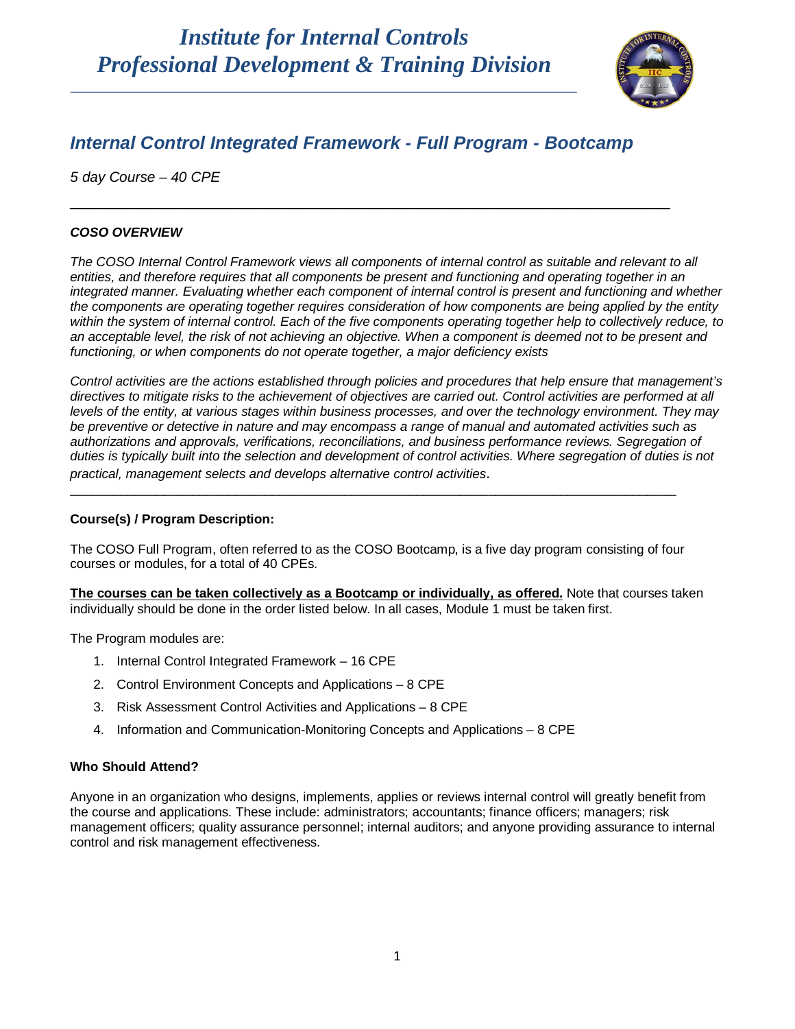

## *Internal Control Integrated Framework - Full Program - Bootcamp*

\_\_\_\_\_\_\_\_\_\_\_\_\_\_\_\_\_\_\_\_\_\_\_\_\_\_\_\_\_\_\_\_\_\_\_\_\_\_\_\_\_\_\_\_\_\_\_\_\_\_\_\_

*5 day Course – 40 CPE*

### *COSO OVERVIEW*

*The COSO Internal Control Framework views all components of internal control as suitable and relevant to all entities, and therefore requires that all components be present and functioning and operating together in an integrated manner. Evaluating whether each component of internal control is present and functioning and whether the components are operating together requires consideration of how components are being applied by the entity within the system of internal control. Each of the five components operating together help to collectively reduce, to an acceptable level, the risk of not achieving an objective. When a component is deemed not to be present and functioning, or when components do not operate together, a major deficiency exists*

*Control activities are the actions established through policies and procedures that help ensure that management's directives to mitigate risks to the achievement of objectives are carried out. Control activities are performed at all levels of the entity, at various stages within business processes, and over the technology environment. They may be preventive or detective in nature and may encompass a range of manual and automated activities such as authorizations and approvals, verifications, reconciliations, and business performance reviews. Segregation of duties is typically built into the selection and development of control activities. Where segregation of duties is not practical, management selects and develops alternative control activities*.

### **Course(s) / Program Description:**

The COSO Full Program, often referred to as the COSO Bootcamp, is a five day program consisting of four courses or modules, for a total of 40 CPEs.

\_\_\_\_\_\_\_\_\_\_\_\_\_\_\_\_\_\_\_\_\_\_\_\_\_\_\_\_\_\_\_\_\_\_\_\_\_\_\_\_\_\_\_\_\_\_\_\_\_\_\_\_\_\_\_\_\_\_\_\_\_\_\_\_\_\_\_\_\_\_\_\_\_\_\_\_\_\_\_\_\_\_\_\_

**The courses can be taken collectively as a Bootcamp or individually, as offered.** Note that courses taken individually should be done in the order listed below. In all cases, Module 1 must be taken first.

The Program modules are:

- 1. Internal Control Integrated Framework 16 CPE
- 2. Control Environment Concepts and Applications 8 CPE
- 3. Risk Assessment Control Activities and Applications 8 CPE
- 4. Information and Communication-Monitoring Concepts and Applications 8 CPE

### **Who Should Attend?**

Anyone in an organization who designs, implements, applies or reviews internal control will greatly benefit from the course and applications. These include: administrators; accountants; finance officers; managers; risk management officers; quality assurance personnel; internal auditors; and anyone providing assurance to internal control and risk management effectiveness.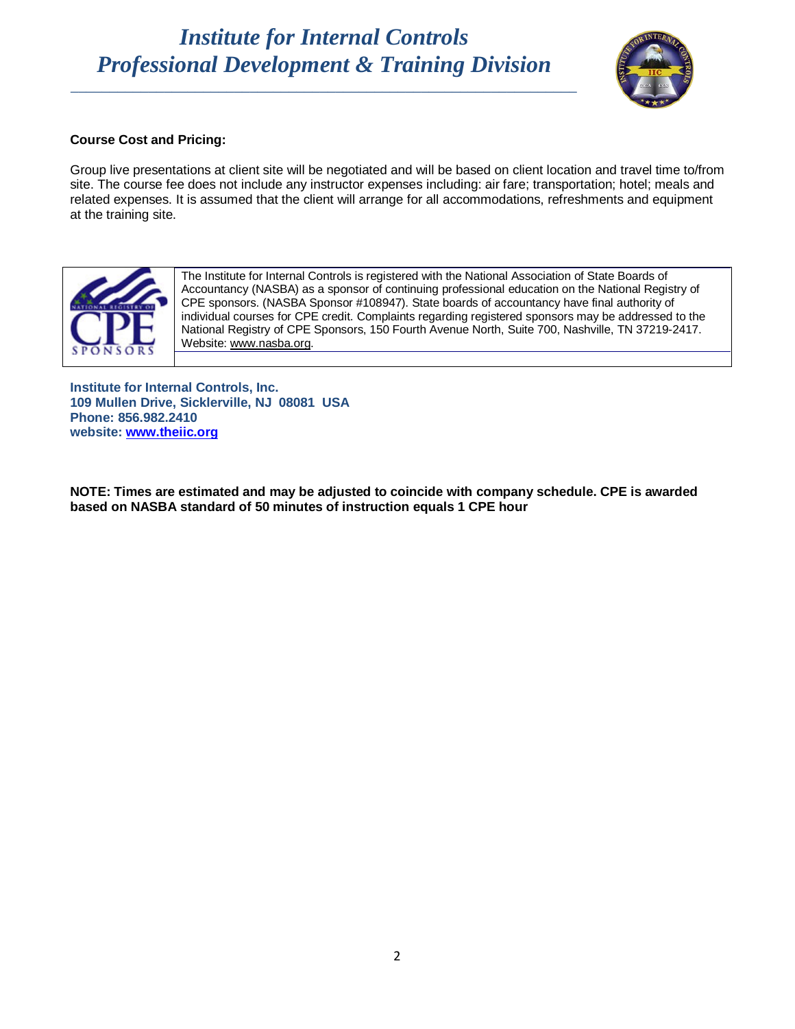\_\_\_\_\_\_\_\_\_\_\_\_\_\_\_\_\_\_\_\_\_\_\_\_\_\_\_\_\_\_\_\_\_\_\_\_\_\_\_\_\_\_\_\_\_\_\_\_\_\_\_\_\_\_\_\_\_\_\_\_\_\_\_\_\_



### **Course Cost and Pricing:**

Group live presentations at client site will be negotiated and will be based on client location and travel time to/from site. The course fee does not include any instructor expenses including: air fare; transportation; hotel; meals and related expenses. It is assumed that the client will arrange for all accommodations, refreshments and equipment at the training site.



The Institute for Internal Controls is registered with the National Association of State Boards of Accountancy (NASBA) as a sponsor of continuing professional education on the National Registry of CPE sponsors. (NASBA Sponsor #108947). State boards of accountancy have final authority of individual courses for CPE credit. Complaints regarding registered sponsors may be addressed to the National Registry of CPE Sponsors, 150 Fourth Avenue North, Suite 700, Nashville, TN 37219-2417. Website: [www.nasba.org.](http://www.nasba.org/)

**Institute for Internal Controls, Inc. 109 Mullen Drive, Sicklerville, NJ 08081 USA Phone: 856.982.2410 website: [www.theiic.org](http://www.theiic.org/)**

**NOTE: Times are estimated and may be adjusted to coincide with company schedule. CPE is awarded based on NASBA standard of 50 minutes of instruction equals 1 CPE hour**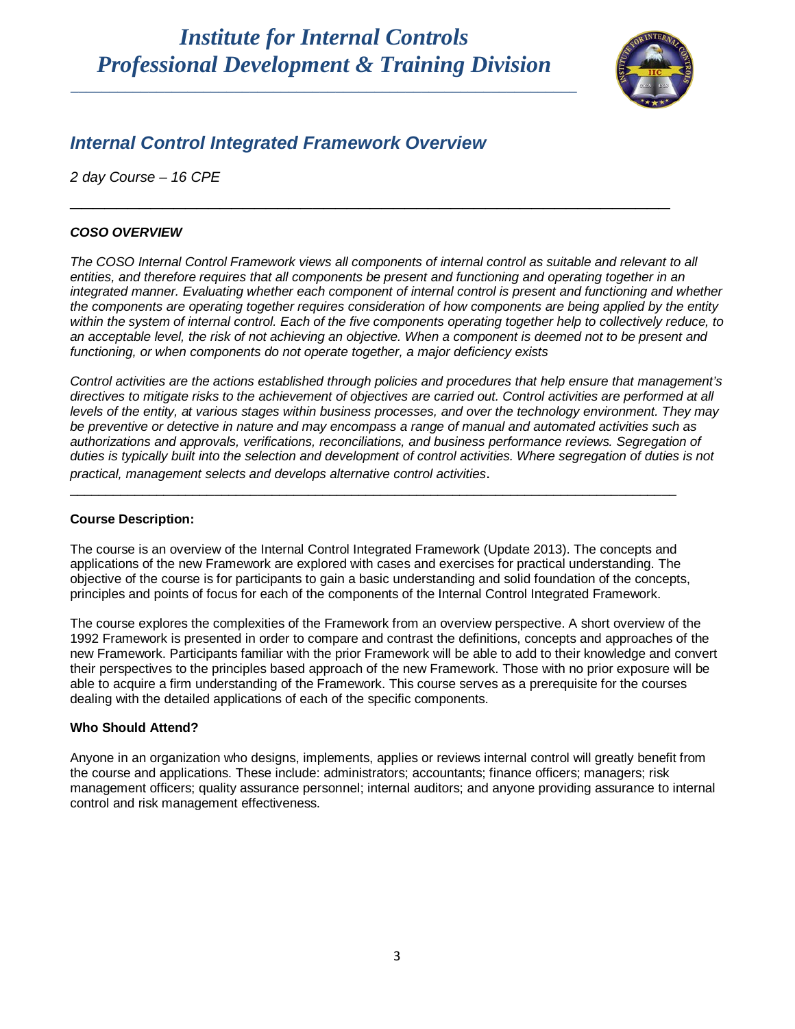\_\_\_\_\_\_\_\_\_\_\_\_\_\_\_\_\_\_\_\_\_\_\_\_\_\_\_\_\_\_\_\_\_\_\_\_\_\_\_\_\_\_\_\_\_\_\_\_\_\_\_\_\_\_\_\_\_\_\_\_\_\_\_\_\_



## *Internal Control Integrated Framework Overview*

*2 day Course – 16 CPE*

### *COSO OVERVIEW*

*The COSO Internal Control Framework views all components of internal control as suitable and relevant to all entities, and therefore requires that all components be present and functioning and operating together in an integrated manner. Evaluating whether each component of internal control is present and functioning and whether the components are operating together requires consideration of how components are being applied by the entity within the system of internal control. Each of the five components operating together help to collectively reduce, to an acceptable level, the risk of not achieving an objective. When a component is deemed not to be present and functioning, or when components do not operate together, a major deficiency exists*

\_\_\_\_\_\_\_\_\_\_\_\_\_\_\_\_\_\_\_\_\_\_\_\_\_\_\_\_\_\_\_\_\_\_\_\_\_\_\_\_\_\_\_\_\_\_\_\_\_\_\_\_

*Control activities are the actions established through policies and procedures that help ensure that management's directives to mitigate risks to the achievement of objectives are carried out. Control activities are performed at all levels of the entity, at various stages within business processes, and over the technology environment. They may be preventive or detective in nature and may encompass a range of manual and automated activities such as authorizations and approvals, verifications, reconciliations, and business performance reviews. Segregation of duties is typically built into the selection and development of control activities. Where segregation of duties is not practical, management selects and develops alternative control activities*.

### **Course Description:**

The course is an overview of the Internal Control Integrated Framework (Update 2013). The concepts and applications of the new Framework are explored with cases and exercises for practical understanding. The objective of the course is for participants to gain a basic understanding and solid foundation of the concepts, principles and points of focus for each of the components of the Internal Control Integrated Framework.

\_\_\_\_\_\_\_\_\_\_\_\_\_\_\_\_\_\_\_\_\_\_\_\_\_\_\_\_\_\_\_\_\_\_\_\_\_\_\_\_\_\_\_\_\_\_\_\_\_\_\_\_\_\_\_\_\_\_\_\_\_\_\_\_\_\_\_\_\_\_\_\_\_\_\_\_\_\_\_\_\_\_\_\_

The course explores the complexities of the Framework from an overview perspective. A short overview of the 1992 Framework is presented in order to compare and contrast the definitions, concepts and approaches of the new Framework. Participants familiar with the prior Framework will be able to add to their knowledge and convert their perspectives to the principles based approach of the new Framework. Those with no prior exposure will be able to acquire a firm understanding of the Framework. This course serves as a prerequisite for the courses dealing with the detailed applications of each of the specific components.

### **Who Should Attend?**

Anyone in an organization who designs, implements, applies or reviews internal control will greatly benefit from the course and applications. These include: administrators; accountants; finance officers; managers; risk management officers; quality assurance personnel; internal auditors; and anyone providing assurance to internal control and risk management effectiveness.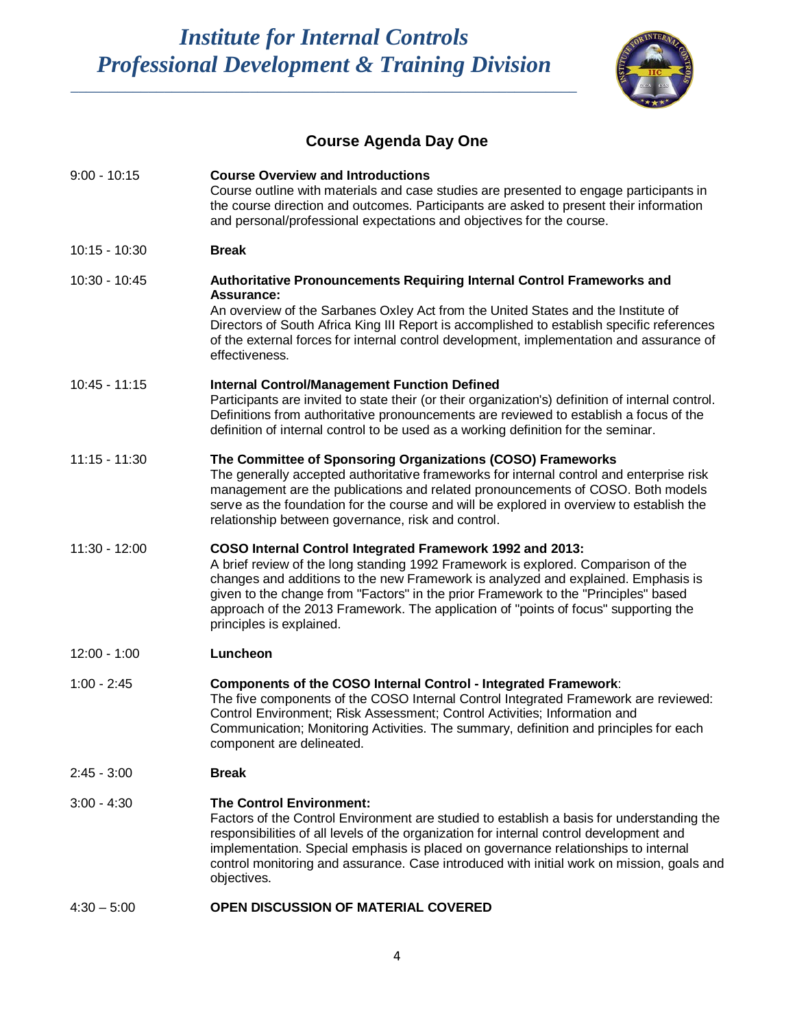\_\_\_\_\_\_\_\_\_\_\_\_\_\_\_\_\_\_\_\_\_\_\_\_\_\_\_\_\_\_\_\_\_\_\_\_\_\_\_\_\_\_\_\_\_\_\_\_\_\_\_\_\_\_\_\_\_\_\_\_\_\_\_\_\_



## **Course Agenda Day One**

| $9:00 - 10:15$  | <b>Course Overview and Introductions</b><br>Course outline with materials and case studies are presented to engage participants in<br>the course direction and outcomes. Participants are asked to present their information<br>and personal/professional expectations and objectives for the course.                                                                                                                                         |
|-----------------|-----------------------------------------------------------------------------------------------------------------------------------------------------------------------------------------------------------------------------------------------------------------------------------------------------------------------------------------------------------------------------------------------------------------------------------------------|
| 10:15 - 10:30   | <b>Break</b>                                                                                                                                                                                                                                                                                                                                                                                                                                  |
| 10:30 - 10:45   | Authoritative Pronouncements Requiring Internal Control Frameworks and<br>Assurance:<br>An overview of the Sarbanes Oxley Act from the United States and the Institute of<br>Directors of South Africa King III Report is accomplished to establish specific references<br>of the external forces for internal control development, implementation and assurance of<br>effectiveness.                                                         |
| 10:45 - 11:15   | <b>Internal Control/Management Function Defined</b><br>Participants are invited to state their (or their organization's) definition of internal control.<br>Definitions from authoritative pronouncements are reviewed to establish a focus of the<br>definition of internal control to be used as a working definition for the seminar.                                                                                                      |
| $11:15 - 11:30$ | The Committee of Sponsoring Organizations (COSO) Frameworks<br>The generally accepted authoritative frameworks for internal control and enterprise risk<br>management are the publications and related pronouncements of COSO. Both models<br>serve as the foundation for the course and will be explored in overview to establish the<br>relationship between governance, risk and control.                                                  |
| 11:30 - 12:00   | COSO Internal Control Integrated Framework 1992 and 2013:<br>A brief review of the long standing 1992 Framework is explored. Comparison of the<br>changes and additions to the new Framework is analyzed and explained. Emphasis is<br>given to the change from "Factors" in the prior Framework to the "Principles" based<br>approach of the 2013 Framework. The application of "points of focus" supporting the<br>principles is explained. |
| 12:00 - 1:00    | Luncheon                                                                                                                                                                                                                                                                                                                                                                                                                                      |
| $1:00 - 2:45$   | Components of the COSO Internal Control - Integrated Framework:<br>The five components of the COSO Internal Control Integrated Framework are reviewed:<br>Control Environment; Risk Assessment; Control Activities; Information and<br>Communication; Monitoring Activities. The summary, definition and principles for each<br>component are delineated.                                                                                     |
| 2:45 - 3:00     | <b>Break</b>                                                                                                                                                                                                                                                                                                                                                                                                                                  |
| $3:00 - 4:30$   | <b>The Control Environment:</b><br>Factors of the Control Environment are studied to establish a basis for understanding the<br>responsibilities of all levels of the organization for internal control development and<br>implementation. Special emphasis is placed on governance relationships to internal<br>control monitoring and assurance. Case introduced with initial work on mission, goals and<br>objectives.                     |
| $4:30 - 5:00$   | OPEN DISCUSSION OF MATERIAL COVERED                                                                                                                                                                                                                                                                                                                                                                                                           |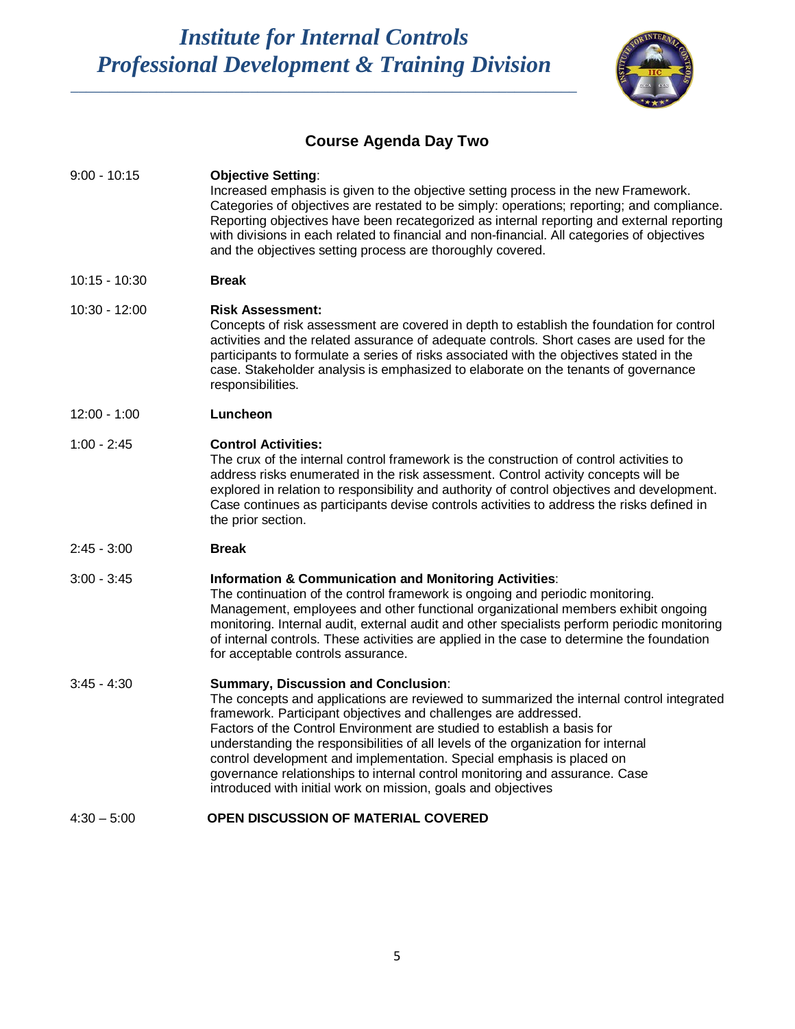\_\_\_\_\_\_\_\_\_\_\_\_\_\_\_\_\_\_\_\_\_\_\_\_\_\_\_\_\_\_\_\_\_\_\_\_\_\_\_\_\_\_\_\_\_\_\_\_\_\_\_\_\_\_\_\_\_\_\_\_\_\_\_\_\_



## **Course Agenda Day Two**

| $9:00 - 10:15$  | <b>Objective Setting:</b><br>Increased emphasis is given to the objective setting process in the new Framework.<br>Categories of objectives are restated to be simply: operations; reporting; and compliance.<br>Reporting objectives have been recategorized as internal reporting and external reporting<br>with divisions in each related to financial and non-financial. All categories of objectives<br>and the objectives setting process are thoroughly covered.                                                                                                                            |
|-----------------|----------------------------------------------------------------------------------------------------------------------------------------------------------------------------------------------------------------------------------------------------------------------------------------------------------------------------------------------------------------------------------------------------------------------------------------------------------------------------------------------------------------------------------------------------------------------------------------------------|
| $10:15 - 10:30$ | <b>Break</b>                                                                                                                                                                                                                                                                                                                                                                                                                                                                                                                                                                                       |
| 10:30 - 12:00   | <b>Risk Assessment:</b><br>Concepts of risk assessment are covered in depth to establish the foundation for control<br>activities and the related assurance of adequate controls. Short cases are used for the<br>participants to formulate a series of risks associated with the objectives stated in the<br>case. Stakeholder analysis is emphasized to elaborate on the tenants of governance<br>responsibilities.                                                                                                                                                                              |
| $12:00 - 1:00$  | Luncheon                                                                                                                                                                                                                                                                                                                                                                                                                                                                                                                                                                                           |
| $1:00 - 2:45$   | <b>Control Activities:</b><br>The crux of the internal control framework is the construction of control activities to<br>address risks enumerated in the risk assessment. Control activity concepts will be<br>explored in relation to responsibility and authority of control objectives and development.<br>Case continues as participants devise controls activities to address the risks defined in<br>the prior section.                                                                                                                                                                      |
| $2:45 - 3:00$   | <b>Break</b>                                                                                                                                                                                                                                                                                                                                                                                                                                                                                                                                                                                       |
| $3:00 - 3:45$   | <b>Information &amp; Communication and Monitoring Activities:</b><br>The continuation of the control framework is ongoing and periodic monitoring.<br>Management, employees and other functional organizational members exhibit ongoing<br>monitoring. Internal audit, external audit and other specialists perform periodic monitoring<br>of internal controls. These activities are applied in the case to determine the foundation<br>for acceptable controls assurance.                                                                                                                        |
| $3:45 - 4:30$   | <b>Summary, Discussion and Conclusion:</b><br>The concepts and applications are reviewed to summarized the internal control integrated<br>framework. Participant objectives and challenges are addressed.<br>Factors of the Control Environment are studied to establish a basis for<br>understanding the responsibilities of all levels of the organization for internal<br>control development and implementation. Special emphasis is placed on<br>governance relationships to internal control monitoring and assurance. Case<br>introduced with initial work on mission, goals and objectives |
| $4:30 - 5:00$   | OPEN DISCUSSION OF MATERIAL COVERED                                                                                                                                                                                                                                                                                                                                                                                                                                                                                                                                                                |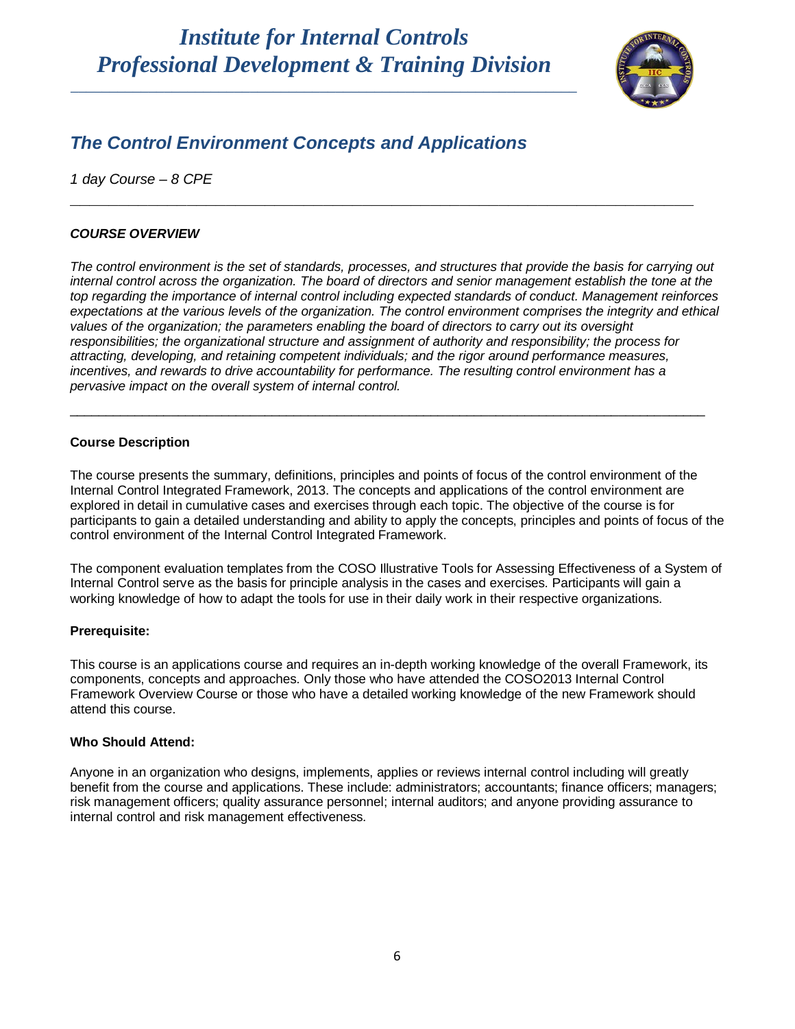\_\_\_\_\_\_\_\_\_\_\_\_\_\_\_\_\_\_\_\_\_\_\_\_\_\_\_\_\_\_\_\_\_\_\_\_\_\_\_\_\_\_\_\_\_\_\_\_\_\_\_\_\_\_\_\_\_\_\_\_\_\_\_\_\_



## *The Control Environment Concepts and Applications*

*1 day Course – 8 CPE* 

### *COURSE OVERVIEW*

*The control environment is the set of standards, processes, and structures that provide the basis for carrying out internal control across the organization. The board of directors and senior management establish the tone at the top regarding the importance of internal control including expected standards of conduct. Management reinforces*  expectations at the various levels of the organization. The control environment comprises the integrity and ethical *values of the organization; the parameters enabling the board of directors to carry out its oversight responsibilities; the organizational structure and assignment of authority and responsibility; the process for attracting, developing, and retaining competent individuals; and the rigor around performance measures, incentives, and rewards to drive accountability for performance. The resulting control environment has a pervasive impact on the overall system of internal control.*

\_\_\_\_\_\_\_\_\_\_\_\_\_\_\_\_\_\_\_\_\_\_\_\_\_\_\_\_\_\_\_\_\_\_\_\_\_\_\_\_\_\_\_\_\_\_\_\_\_\_\_\_\_\_\_\_\_\_\_\_\_\_\_\_\_\_\_\_\_\_\_\_\_\_\_\_\_\_\_\_\_\_\_\_\_\_\_\_

**\_\_\_\_\_\_\_\_\_\_\_\_\_\_\_\_\_\_\_\_\_\_\_\_\_\_\_\_\_\_\_\_\_\_\_\_\_\_\_\_\_\_\_\_\_\_\_\_\_\_\_\_\_\_\_\_\_\_\_\_\_\_\_\_**

### **Course Description**

The course presents the summary, definitions, principles and points of focus of the control environment of the Internal Control Integrated Framework, 2013. The concepts and applications of the control environment are explored in detail in cumulative cases and exercises through each topic. The objective of the course is for participants to gain a detailed understanding and ability to apply the concepts, principles and points of focus of the control environment of the Internal Control Integrated Framework.

The component evaluation templates from the COSO Illustrative Tools for Assessing Effectiveness of a System of Internal Control serve as the basis for principle analysis in the cases and exercises. Participants will gain a working knowledge of how to adapt the tools for use in their daily work in their respective organizations.

### **Prerequisite:**

This course is an applications course and requires an in-depth working knowledge of the overall Framework, its components, concepts and approaches. Only those who have attended the COSO2013 Internal Control Framework Overview Course or those who have a detailed working knowledge of the new Framework should attend this course.

### **Who Should Attend:**

Anyone in an organization who designs, implements, applies or reviews internal control including will greatly benefit from the course and applications. These include: administrators; accountants; finance officers; managers; risk management officers; quality assurance personnel; internal auditors; and anyone providing assurance to internal control and risk management effectiveness.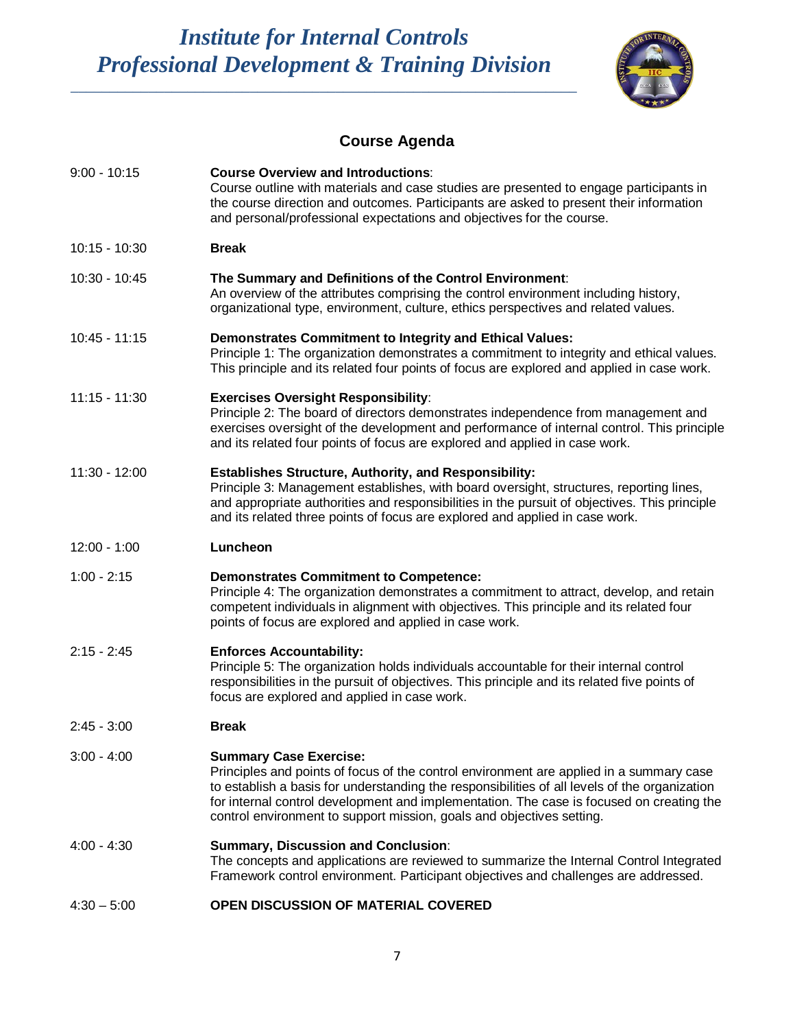\_\_\_\_\_\_\_\_\_\_\_\_\_\_\_\_\_\_\_\_\_\_\_\_\_\_\_\_\_\_\_\_\_\_\_\_\_\_\_\_\_\_\_\_\_\_\_\_\_\_\_\_\_\_\_\_\_\_\_\_\_\_\_\_\_



## **Course Agenda**

| $9:00 - 10:15$  | <b>Course Overview and Introductions:</b><br>Course outline with materials and case studies are presented to engage participants in<br>the course direction and outcomes. Participants are asked to present their information<br>and personal/professional expectations and objectives for the course.                                                                                         |
|-----------------|------------------------------------------------------------------------------------------------------------------------------------------------------------------------------------------------------------------------------------------------------------------------------------------------------------------------------------------------------------------------------------------------|
| $10:15 - 10:30$ | <b>Break</b>                                                                                                                                                                                                                                                                                                                                                                                   |
| 10:30 - 10:45   | The Summary and Definitions of the Control Environment:<br>An overview of the attributes comprising the control environment including history,<br>organizational type, environment, culture, ethics perspectives and related values.                                                                                                                                                           |
| $10:45 - 11:15$ | <b>Demonstrates Commitment to Integrity and Ethical Values:</b><br>Principle 1: The organization demonstrates a commitment to integrity and ethical values.<br>This principle and its related four points of focus are explored and applied in case work.                                                                                                                                      |
| $11:15 - 11:30$ | <b>Exercises Oversight Responsibility:</b><br>Principle 2: The board of directors demonstrates independence from management and<br>exercises oversight of the development and performance of internal control. This principle<br>and its related four points of focus are explored and applied in case work.                                                                                   |
| $11:30 - 12:00$ | <b>Establishes Structure, Authority, and Responsibility:</b><br>Principle 3: Management establishes, with board oversight, structures, reporting lines,<br>and appropriate authorities and responsibilities in the pursuit of objectives. This principle<br>and its related three points of focus are explored and applied in case work.                                                       |
| $12:00 - 1:00$  | Luncheon                                                                                                                                                                                                                                                                                                                                                                                       |
| $1:00 - 2:15$   | <b>Demonstrates Commitment to Competence:</b><br>Principle 4: The organization demonstrates a commitment to attract, develop, and retain<br>competent individuals in alignment with objectives. This principle and its related four<br>points of focus are explored and applied in case work.                                                                                                  |
| $2:15 - 2:45$   | <b>Enforces Accountability:</b><br>Principle 5: The organization holds individuals accountable for their internal control<br>responsibilities in the pursuit of objectives. This principle and its related five points of<br>focus are explored and applied in case work.                                                                                                                      |
| $2:45 - 3:00$   | <b>Break</b>                                                                                                                                                                                                                                                                                                                                                                                   |
| $3:00 - 4:00$   | <b>Summary Case Exercise:</b><br>Principles and points of focus of the control environment are applied in a summary case<br>to establish a basis for understanding the responsibilities of all levels of the organization<br>for internal control development and implementation. The case is focused on creating the<br>control environment to support mission, goals and objectives setting. |
| $4:00 - 4:30$   | <b>Summary, Discussion and Conclusion:</b><br>The concepts and applications are reviewed to summarize the Internal Control Integrated<br>Framework control environment. Participant objectives and challenges are addressed.                                                                                                                                                                   |
|                 |                                                                                                                                                                                                                                                                                                                                                                                                |

4:30 – 5:00 **OPEN DISCUSSION OF MATERIAL COVERED**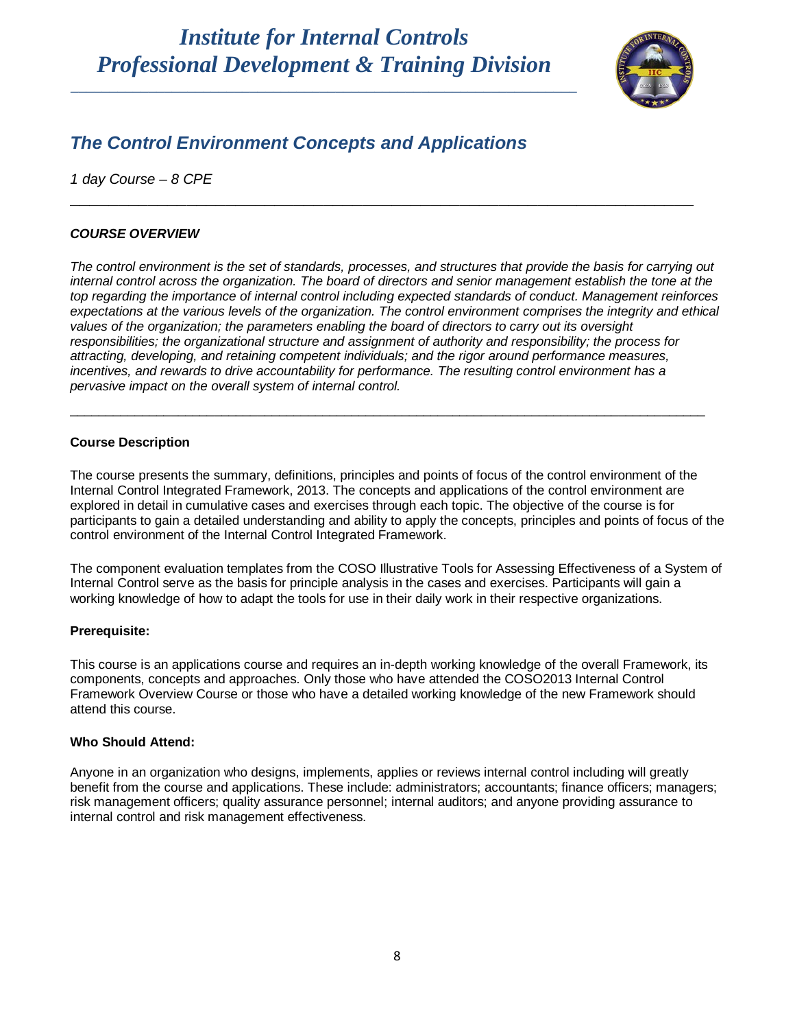\_\_\_\_\_\_\_\_\_\_\_\_\_\_\_\_\_\_\_\_\_\_\_\_\_\_\_\_\_\_\_\_\_\_\_\_\_\_\_\_\_\_\_\_\_\_\_\_\_\_\_\_\_\_\_\_\_\_\_\_\_\_\_\_\_



## *The Control Environment Concepts and Applications*

*1 day Course – 8 CPE* 

### *COURSE OVERVIEW*

*The control environment is the set of standards, processes, and structures that provide the basis for carrying out internal control across the organization. The board of directors and senior management establish the tone at the top regarding the importance of internal control including expected standards of conduct. Management reinforces*  expectations at the various levels of the organization. The control environment comprises the integrity and ethical *values of the organization; the parameters enabling the board of directors to carry out its oversight responsibilities; the organizational structure and assignment of authority and responsibility; the process for attracting, developing, and retaining competent individuals; and the rigor around performance measures, incentives, and rewards to drive accountability for performance. The resulting control environment has a pervasive impact on the overall system of internal control.*

\_\_\_\_\_\_\_\_\_\_\_\_\_\_\_\_\_\_\_\_\_\_\_\_\_\_\_\_\_\_\_\_\_\_\_\_\_\_\_\_\_\_\_\_\_\_\_\_\_\_\_\_\_\_\_\_\_\_\_\_\_\_\_\_\_\_\_\_\_\_\_\_\_\_\_\_\_\_\_\_\_\_\_\_\_\_\_\_

**\_\_\_\_\_\_\_\_\_\_\_\_\_\_\_\_\_\_\_\_\_\_\_\_\_\_\_\_\_\_\_\_\_\_\_\_\_\_\_\_\_\_\_\_\_\_\_\_\_\_\_\_\_\_\_\_\_\_\_\_\_\_\_\_**

### **Course Description**

The course presents the summary, definitions, principles and points of focus of the control environment of the Internal Control Integrated Framework, 2013. The concepts and applications of the control environment are explored in detail in cumulative cases and exercises through each topic. The objective of the course is for participants to gain a detailed understanding and ability to apply the concepts, principles and points of focus of the control environment of the Internal Control Integrated Framework.

The component evaluation templates from the COSO Illustrative Tools for Assessing Effectiveness of a System of Internal Control serve as the basis for principle analysis in the cases and exercises. Participants will gain a working knowledge of how to adapt the tools for use in their daily work in their respective organizations.

### **Prerequisite:**

This course is an applications course and requires an in-depth working knowledge of the overall Framework, its components, concepts and approaches. Only those who have attended the COSO2013 Internal Control Framework Overview Course or those who have a detailed working knowledge of the new Framework should attend this course.

### **Who Should Attend:**

Anyone in an organization who designs, implements, applies or reviews internal control including will greatly benefit from the course and applications. These include: administrators; accountants; finance officers; managers; risk management officers; quality assurance personnel; internal auditors; and anyone providing assurance to internal control and risk management effectiveness.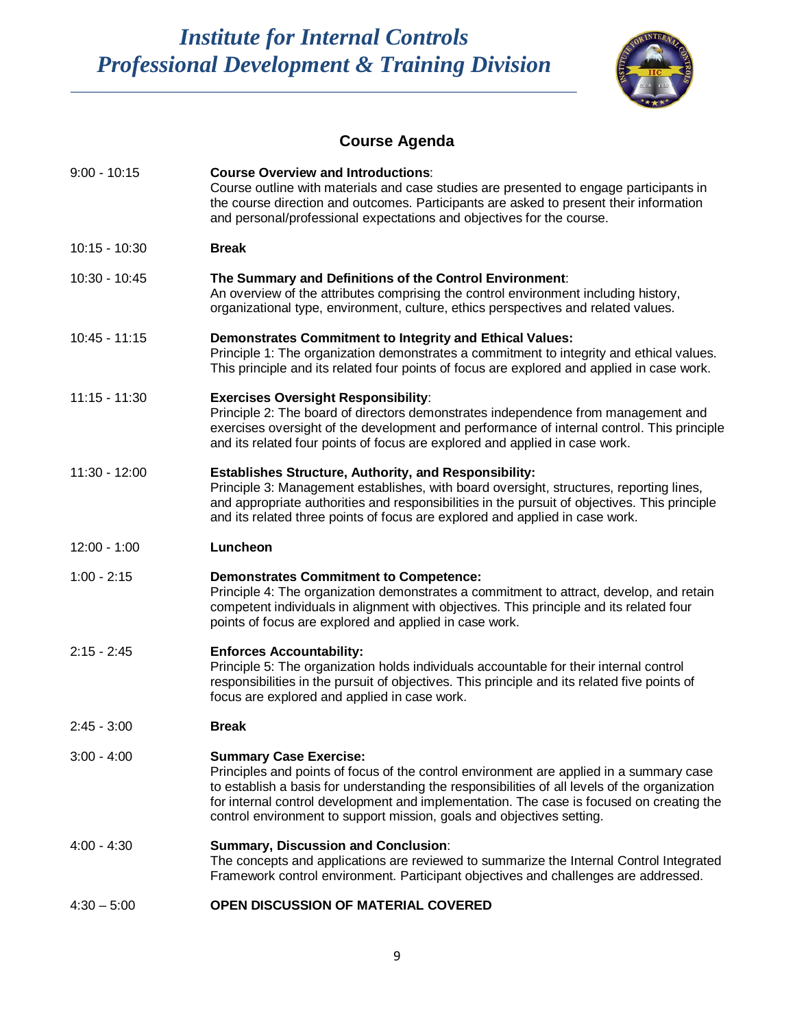\_\_\_\_\_\_\_\_\_\_\_\_\_\_\_\_\_\_\_\_\_\_\_\_\_\_\_\_\_\_\_\_\_\_\_\_\_\_\_\_\_\_\_\_\_\_\_\_\_\_\_\_\_\_\_\_\_\_\_\_\_\_\_\_\_



## **Course Agenda**

| $9:00 - 10:15$  | <b>Course Overview and Introductions:</b><br>Course outline with materials and case studies are presented to engage participants in<br>the course direction and outcomes. Participants are asked to present their information<br>and personal/professional expectations and objectives for the course.                                                                                         |
|-----------------|------------------------------------------------------------------------------------------------------------------------------------------------------------------------------------------------------------------------------------------------------------------------------------------------------------------------------------------------------------------------------------------------|
| $10:15 - 10:30$ | <b>Break</b>                                                                                                                                                                                                                                                                                                                                                                                   |
| 10:30 - 10:45   | The Summary and Definitions of the Control Environment:<br>An overview of the attributes comprising the control environment including history,<br>organizational type, environment, culture, ethics perspectives and related values.                                                                                                                                                           |
| $10:45 - 11:15$ | <b>Demonstrates Commitment to Integrity and Ethical Values:</b><br>Principle 1: The organization demonstrates a commitment to integrity and ethical values.<br>This principle and its related four points of focus are explored and applied in case work.                                                                                                                                      |
| $11:15 - 11:30$ | <b>Exercises Oversight Responsibility:</b><br>Principle 2: The board of directors demonstrates independence from management and<br>exercises oversight of the development and performance of internal control. This principle<br>and its related four points of focus are explored and applied in case work.                                                                                   |
| $11:30 - 12:00$ | <b>Establishes Structure, Authority, and Responsibility:</b><br>Principle 3: Management establishes, with board oversight, structures, reporting lines,<br>and appropriate authorities and responsibilities in the pursuit of objectives. This principle<br>and its related three points of focus are explored and applied in case work.                                                       |
| $12:00 - 1:00$  | Luncheon                                                                                                                                                                                                                                                                                                                                                                                       |
| $1:00 - 2:15$   | <b>Demonstrates Commitment to Competence:</b><br>Principle 4: The organization demonstrates a commitment to attract, develop, and retain<br>competent individuals in alignment with objectives. This principle and its related four<br>points of focus are explored and applied in case work.                                                                                                  |
| $2:15 - 2:45$   | <b>Enforces Accountability:</b><br>Principle 5: The organization holds individuals accountable for their internal control<br>responsibilities in the pursuit of objectives. This principle and its related five points of<br>focus are explored and applied in case work.                                                                                                                      |
| $2:45 - 3:00$   | <b>Break</b>                                                                                                                                                                                                                                                                                                                                                                                   |
| $3:00 - 4:00$   | <b>Summary Case Exercise:</b><br>Principles and points of focus of the control environment are applied in a summary case<br>to establish a basis for understanding the responsibilities of all levels of the organization<br>for internal control development and implementation. The case is focused on creating the<br>control environment to support mission, goals and objectives setting. |
| $4:00 - 4:30$   | <b>Summary, Discussion and Conclusion:</b><br>The concepts and applications are reviewed to summarize the Internal Control Integrated<br>Framework control environment. Participant objectives and challenges are addressed.                                                                                                                                                                   |
|                 |                                                                                                                                                                                                                                                                                                                                                                                                |

4:30 – 5:00 **OPEN DISCUSSION OF MATERIAL COVERED**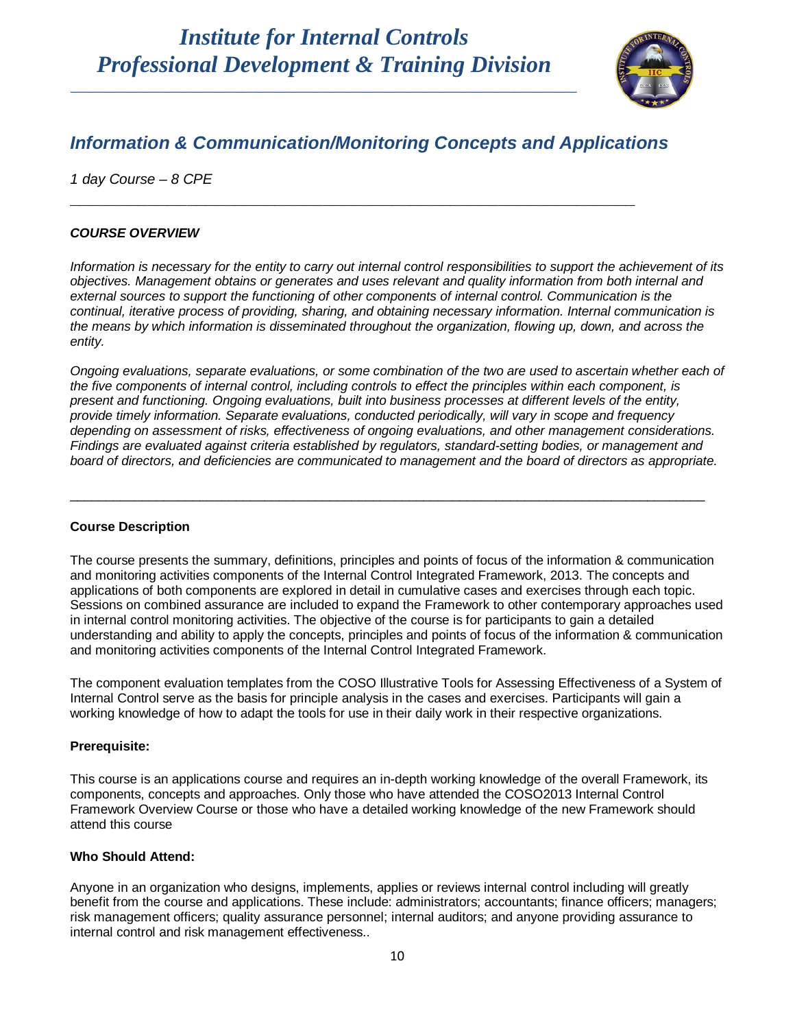

## *Information & Communication/Monitoring Concepts and Applications*

**\_\_\_\_\_\_\_\_\_\_\_\_\_\_\_\_\_\_\_\_\_\_\_\_\_\_\_\_\_\_\_\_\_\_\_\_\_\_\_\_\_\_\_\_\_\_\_\_\_\_\_\_\_\_\_\_\_\_**

*1 day Course – 8 CPE*

### *COURSE OVERVIEW*

*Information is necessary for the entity to carry out internal control responsibilities to support the achievement of its objectives. Management obtains or generates and uses relevant and quality information from both internal and external sources to support the functioning of other components of internal control. Communication is the continual, iterative process of providing, sharing, and obtaining necessary information. Internal communication is the means by which information is disseminated throughout the organization, flowing up, down, and across the entity.*

*Ongoing evaluations, separate evaluations, or some combination of the two are used to ascertain whether each of the five components of internal control, including controls to effect the principles within each component, is present and functioning. Ongoing evaluations, built into business processes at different levels of the entity, provide timely information. Separate evaluations, conducted periodically, will vary in scope and frequency depending on assessment of risks, effectiveness of ongoing evaluations, and other management considerations. Findings are evaluated against criteria established by regulators, standard-setting bodies, or management and board of directors, and deficiencies are communicated to management and the board of directors as appropriate.*

\_\_\_\_\_\_\_\_\_\_\_\_\_\_\_\_\_\_\_\_\_\_\_\_\_\_\_\_\_\_\_\_\_\_\_\_\_\_\_\_\_\_\_\_\_\_\_\_\_\_\_\_\_\_\_\_\_\_\_\_\_\_\_\_\_\_\_\_\_\_\_\_\_\_\_\_\_\_\_\_\_\_\_\_\_\_\_\_

### **Course Description**

The course presents the summary, definitions, principles and points of focus of the information & communication and monitoring activities components of the Internal Control Integrated Framework, 2013. The concepts and applications of both components are explored in detail in cumulative cases and exercises through each topic. Sessions on combined assurance are included to expand the Framework to other contemporary approaches used in internal control monitoring activities. The objective of the course is for participants to gain a detailed understanding and ability to apply the concepts, principles and points of focus of the information & communication and monitoring activities components of the Internal Control Integrated Framework.

The component evaluation templates from the COSO Illustrative Tools for Assessing Effectiveness of a System of Internal Control serve as the basis for principle analysis in the cases and exercises. Participants will gain a working knowledge of how to adapt the tools for use in their daily work in their respective organizations.

### **Prerequisite:**

This course is an applications course and requires an in-depth working knowledge of the overall Framework, its components, concepts and approaches. Only those who have attended the COSO2013 Internal Control Framework Overview Course or those who have a detailed working knowledge of the new Framework should attend this course

### **Who Should Attend:**

Anyone in an organization who designs, implements, applies or reviews internal control including will greatly benefit from the course and applications. These include: administrators; accountants; finance officers; managers; risk management officers; quality assurance personnel; internal auditors; and anyone providing assurance to internal control and risk management effectiveness..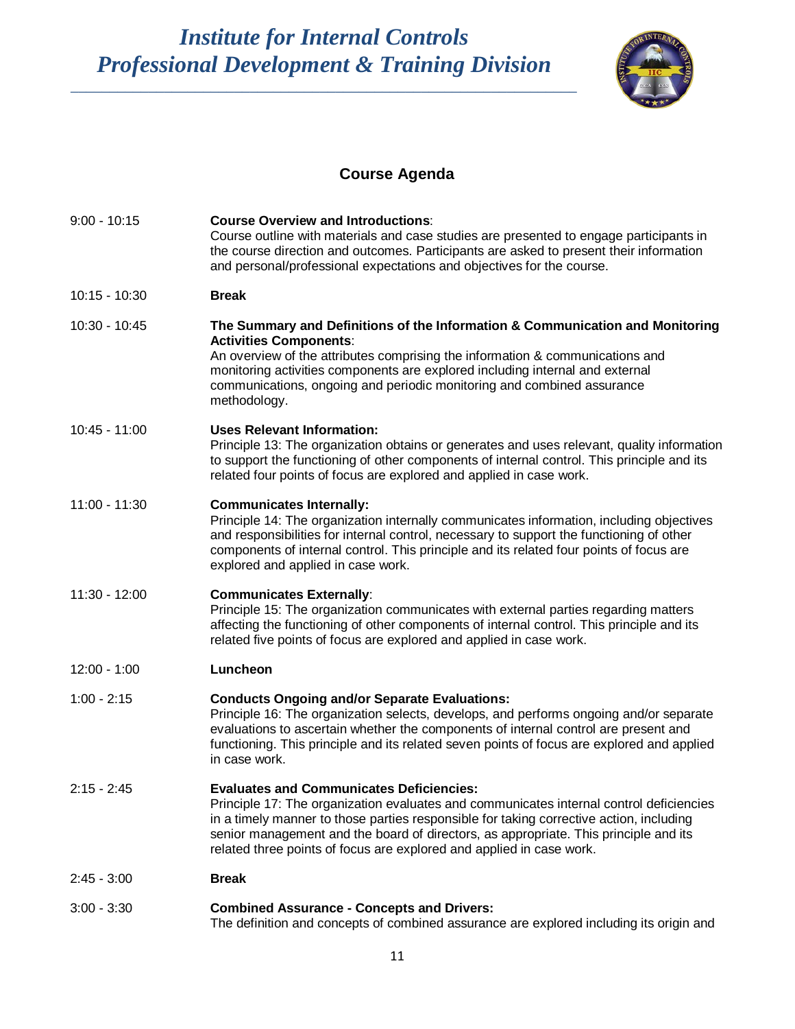\_\_\_\_\_\_\_\_\_\_\_\_\_\_\_\_\_\_\_\_\_\_\_\_\_\_\_\_\_\_\_\_\_\_\_\_\_\_\_\_\_\_\_\_\_\_\_\_\_\_\_\_\_\_\_\_\_\_\_\_\_\_\_\_\_



## **Course Agenda**

| $9:00 - 10:15$  | <b>Course Overview and Introductions:</b><br>Course outline with materials and case studies are presented to engage participants in<br>the course direction and outcomes. Participants are asked to present their information<br>and personal/professional expectations and objectives for the course.                                                                                                |
|-----------------|-------------------------------------------------------------------------------------------------------------------------------------------------------------------------------------------------------------------------------------------------------------------------------------------------------------------------------------------------------------------------------------------------------|
| $10:15 - 10:30$ | <b>Break</b>                                                                                                                                                                                                                                                                                                                                                                                          |
| 10:30 - 10:45   | The Summary and Definitions of the Information & Communication and Monitoring<br><b>Activities Components:</b><br>An overview of the attributes comprising the information & communications and<br>monitoring activities components are explored including internal and external<br>communications, ongoing and periodic monitoring and combined assurance<br>methodology.                            |
| $10:45 - 11:00$ | <b>Uses Relevant Information:</b><br>Principle 13: The organization obtains or generates and uses relevant, quality information<br>to support the functioning of other components of internal control. This principle and its<br>related four points of focus are explored and applied in case work.                                                                                                  |
| $11:00 - 11:30$ | <b>Communicates Internally:</b><br>Principle 14: The organization internally communicates information, including objectives<br>and responsibilities for internal control, necessary to support the functioning of other<br>components of internal control. This principle and its related four points of focus are<br>explored and applied in case work.                                              |
| $11:30 - 12:00$ | <b>Communicates Externally:</b><br>Principle 15: The organization communicates with external parties regarding matters<br>affecting the functioning of other components of internal control. This principle and its<br>related five points of focus are explored and applied in case work.                                                                                                            |
| $12:00 - 1:00$  | Luncheon                                                                                                                                                                                                                                                                                                                                                                                              |
| $1:00 - 2:15$   | <b>Conducts Ongoing and/or Separate Evaluations:</b><br>Principle 16: The organization selects, develops, and performs ongoing and/or separate<br>evaluations to ascertain whether the components of internal control are present and<br>functioning. This principle and its related seven points of focus are explored and applied<br>in case work.                                                  |
| $2:15 - 2:45$   | <b>Evaluates and Communicates Deficiencies:</b><br>Principle 17: The organization evaluates and communicates internal control deficiencies<br>in a timely manner to those parties responsible for taking corrective action, including<br>senior management and the board of directors, as appropriate. This principle and its<br>related three points of focus are explored and applied in case work. |
| $2:45 - 3:00$   | <b>Break</b>                                                                                                                                                                                                                                                                                                                                                                                          |
| $3:00 - 3:30$   | <b>Combined Assurance - Concepts and Drivers:</b><br>The definition and concepts of combined assurance are explored including its origin and                                                                                                                                                                                                                                                          |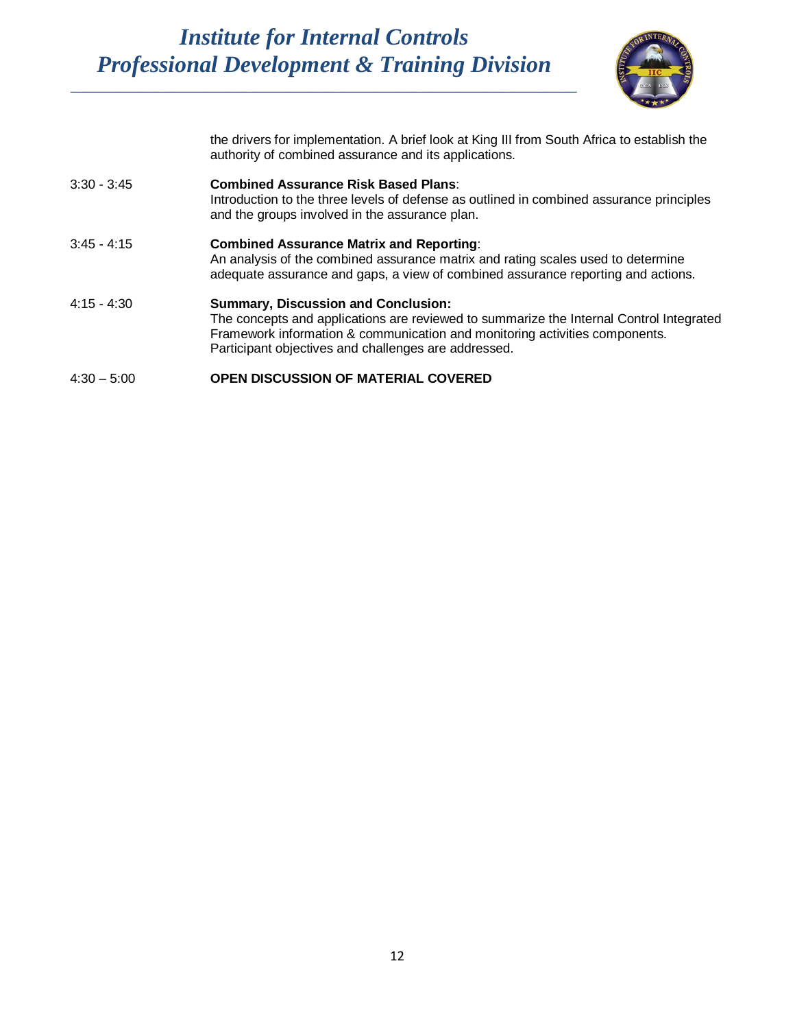

the drivers for implementation. A brief look at King III from South Africa to establish the authority of combined assurance and its applications.

| $3:30 - 3:45$ | <b>Combined Assurance Risk Based Plans:</b><br>Introduction to the three levels of defense as outlined in combined assurance principles<br>and the groups involved in the assurance plan.                                                                                    |
|---------------|------------------------------------------------------------------------------------------------------------------------------------------------------------------------------------------------------------------------------------------------------------------------------|
| $3:45 - 4:15$ | <b>Combined Assurance Matrix and Reporting:</b><br>An analysis of the combined assurance matrix and rating scales used to determine<br>adequate assurance and gaps, a view of combined assurance reporting and actions.                                                      |
| $4:15 - 4:30$ | <b>Summary, Discussion and Conclusion:</b><br>The concepts and applications are reviewed to summarize the Internal Control Integrated<br>Framework information & communication and monitoring activities components.<br>Participant objectives and challenges are addressed. |
| $4:30 - 5:00$ | <b>OPEN DISCUSSION OF MATERIAL COVERED</b>                                                                                                                                                                                                                                   |